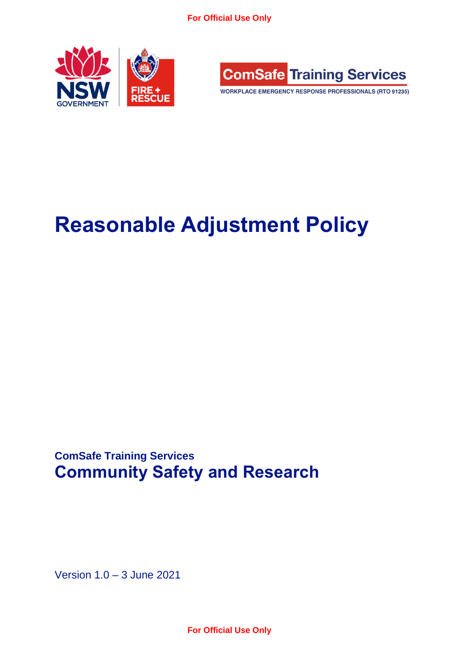**For Official Use Only**





WORKPLACE EMERGENCY RESPONSE PROFESSIONALS (RTO 91235)

# **Reasonable Adjustment Policy**

**ComSafe Training Services Community Safety and Research**

Version 1.0 – 3 June 2021

**For Official Use Only**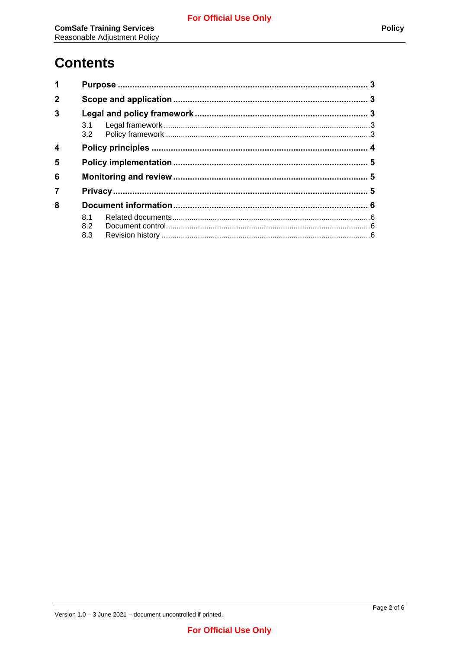## **Contents**

| $\overline{1}$   |     |  |  |  |
|------------------|-----|--|--|--|
| $\mathbf 2$      |     |  |  |  |
| 3                |     |  |  |  |
|                  |     |  |  |  |
| $\boldsymbol{4}$ |     |  |  |  |
| 5                |     |  |  |  |
| 6                |     |  |  |  |
| $\overline{7}$   |     |  |  |  |
| 8                |     |  |  |  |
|                  | 8.1 |  |  |  |
|                  | 8.2 |  |  |  |
|                  | 8.3 |  |  |  |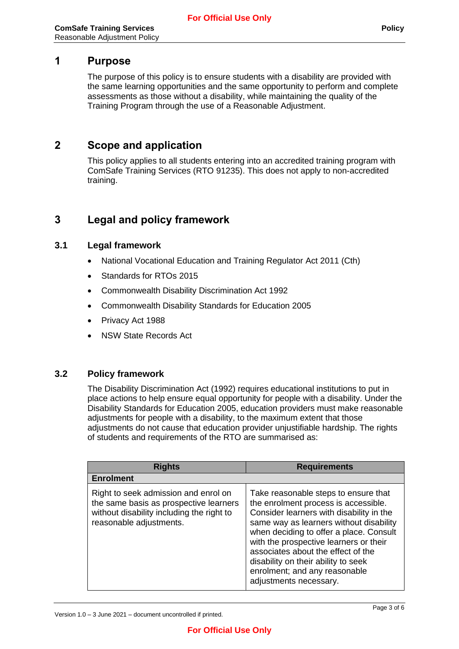#### <span id="page-2-0"></span>**1 Purpose**

The purpose of this policy is to ensure students with a disability are provided with the same learning opportunities and the same opportunity to perform and complete assessments as those without a disability, while maintaining the quality of the Training Program through the use of a Reasonable Adjustment.

### <span id="page-2-1"></span>**2 Scope and application**

This policy applies to all students entering into an accredited training program with ComSafe Training Services (RTO 91235). This does not apply to non-accredited training.

## <span id="page-2-2"></span>**3 Legal and policy framework**

#### <span id="page-2-3"></span>**3.1 Legal framework**

- National Vocational Education and Training Regulator Act 2011 (Cth)
- Standards for RTOs 2015
- Commonwealth Disability Discrimination Act 1992
- Commonwealth Disability Standards for Education 2005
- Privacy Act 1988
- NSW State Records Act

#### <span id="page-2-4"></span>**3.2 Policy framework**

The Disability Discrimination Act (1992) requires educational institutions to put in place actions to help ensure equal opportunity for people with a disability. Under the Disability Standards for Education 2005, education providers must make reasonable adjustments for people with a disability, to the maximum extent that those adjustments do not cause that education provider unjustifiable hardship. The rights of students and requirements of the RTO are summarised as:

| <b>Rights</b>                                                                                                                                          | <b>Requirements</b>                                                                                                                                                                                                                                                                                                                                                                              |
|--------------------------------------------------------------------------------------------------------------------------------------------------------|--------------------------------------------------------------------------------------------------------------------------------------------------------------------------------------------------------------------------------------------------------------------------------------------------------------------------------------------------------------------------------------------------|
| <b>Enrolment</b>                                                                                                                                       |                                                                                                                                                                                                                                                                                                                                                                                                  |
| Right to seek admission and enrol on<br>the same basis as prospective learners<br>without disability including the right to<br>reasonable adjustments. | Take reasonable steps to ensure that<br>the enrolment process is accessible.<br>Consider learners with disability in the<br>same way as learners without disability<br>when deciding to offer a place. Consult<br>with the prospective learners or their<br>associates about the effect of the<br>disability on their ability to seek<br>enrolment; and any reasonable<br>adjustments necessary. |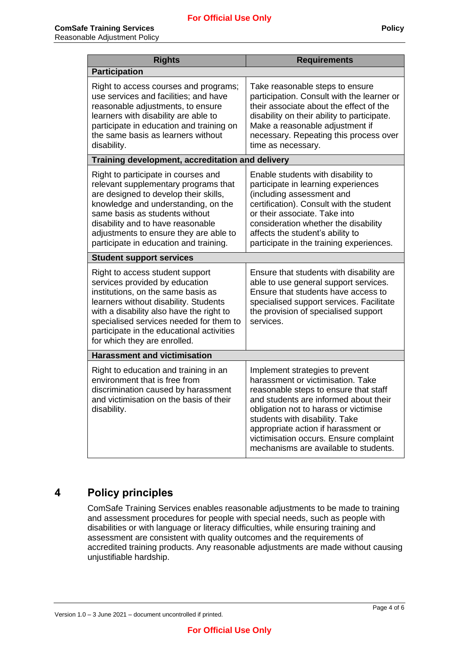| <b>Rights</b>                                                                                                                                                                                                                                                                                                          | <b>Requirements</b>                                                                                                                                                                                                                                                                                                                                         |  |  |  |  |
|------------------------------------------------------------------------------------------------------------------------------------------------------------------------------------------------------------------------------------------------------------------------------------------------------------------------|-------------------------------------------------------------------------------------------------------------------------------------------------------------------------------------------------------------------------------------------------------------------------------------------------------------------------------------------------------------|--|--|--|--|
| <b>Participation</b>                                                                                                                                                                                                                                                                                                   |                                                                                                                                                                                                                                                                                                                                                             |  |  |  |  |
| Right to access courses and programs;<br>use services and facilities; and have<br>reasonable adjustments, to ensure<br>learners with disability are able to<br>participate in education and training on<br>the same basis as learners without<br>disability.                                                           | Take reasonable steps to ensure<br>participation. Consult with the learner or<br>their associate about the effect of the<br>disability on their ability to participate.<br>Make a reasonable adjustment if<br>necessary. Repeating this process over<br>time as necessary.                                                                                  |  |  |  |  |
| Training development, accreditation and delivery                                                                                                                                                                                                                                                                       |                                                                                                                                                                                                                                                                                                                                                             |  |  |  |  |
| Right to participate in courses and<br>relevant supplementary programs that<br>are designed to develop their skills,<br>knowledge and understanding, on the<br>same basis as students without<br>disability and to have reasonable<br>adjustments to ensure they are able to<br>participate in education and training. | Enable students with disability to<br>participate in learning experiences<br>(including assessment and<br>certification). Consult with the student<br>or their associate. Take into<br>consideration whether the disability<br>affects the student's ability to<br>participate in the training experiences.                                                 |  |  |  |  |
| <b>Student support services</b>                                                                                                                                                                                                                                                                                        |                                                                                                                                                                                                                                                                                                                                                             |  |  |  |  |
| Right to access student support<br>services provided by education<br>institutions, on the same basis as<br>learners without disability. Students<br>with a disability also have the right to<br>specialised services needed for them to<br>participate in the educational activities<br>for which they are enrolled.   | Ensure that students with disability are<br>able to use general support services.<br>Ensure that students have access to<br>specialised support services. Facilitate<br>the provision of specialised support<br>services.                                                                                                                                   |  |  |  |  |
| <b>Harassment and victimisation</b>                                                                                                                                                                                                                                                                                    |                                                                                                                                                                                                                                                                                                                                                             |  |  |  |  |
| Right to education and training in an<br>environment that is free from<br>discrimination caused by harassment<br>and victimisation on the basis of their<br>disability.                                                                                                                                                | Implement strategies to prevent<br>harassment or victimisation. Take<br>reasonable steps to ensure that staff<br>and students are informed about their<br>obligation not to harass or victimise<br>students with disability. Take<br>appropriate action if harassment or<br>victimisation occurs. Ensure complaint<br>mechanisms are available to students. |  |  |  |  |

## <span id="page-3-0"></span>**4 Policy principles**

ComSafe Training Services enables reasonable adjustments to be made to training and assessment procedures for people with special needs, such as people with disabilities or with language or literacy difficulties, while ensuring training and assessment are consistent with quality outcomes and the requirements of accredited training products. Any reasonable adjustments are made without causing unjustifiable hardship.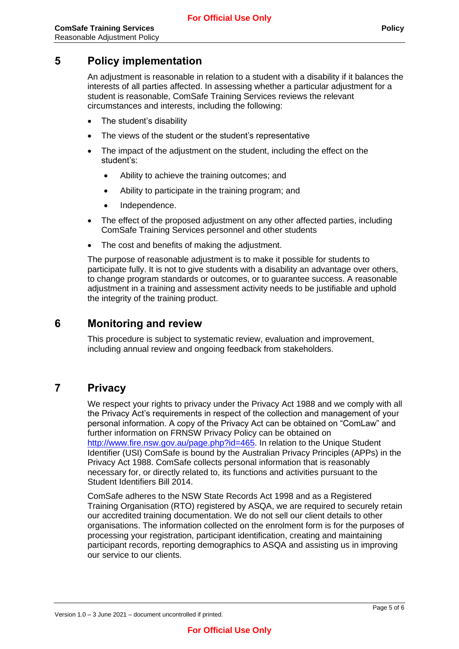## <span id="page-4-0"></span>**5 Policy implementation**

An adjustment is reasonable in relation to a student with a disability if it balances the interests of all parties affected. In assessing whether a particular adjustment for a student is reasonable, ComSafe Training Services reviews the relevant circumstances and interests, including the following:

- The student's disability
- The views of the student or the student's representative
- The impact of the adjustment on the student, including the effect on the student's:
	- Ability to achieve the training outcomes; and
	- Ability to participate in the training program; and
	- Independence.
- The effect of the proposed adjustment on any other affected parties, including ComSafe Training Services personnel and other students
- The cost and benefits of making the adjustment.

The purpose of reasonable adjustment is to make it possible for students to participate fully. It is not to give students with a disability an advantage over others, to change program standards or outcomes, or to guarantee success. A reasonable adjustment in a training and assessment activity needs to be justifiable and uphold the integrity of the training product.

## <span id="page-4-1"></span>**6 Monitoring and review**

This procedure is subject to systematic review, evaluation and improvement, including annual review and ongoing feedback from stakeholders.

## <span id="page-4-2"></span>**7 Privacy**

We respect your rights to privacy under the Privacy Act 1988 and we comply with all the Privacy Act's requirements in respect of the collection and management of your personal information. A copy of the Privacy Act can be obtained on "ComLaw" and further information on FRNSW Privacy Policy can be obtained on [http://www.fire.nsw.gov.au/page.php?id=465.](http://www.fire.nsw.gov.au/page.php?id=465) In relation to the Unique Student Identifier (USI) ComSafe is bound by the Australian Privacy Principles (APPs) in the Privacy Act 1988. ComSafe collects personal information that is reasonably necessary for, or directly related to, its functions and activities pursuant to the Student Identifiers Bill 2014.

ComSafe adheres to the NSW State Records Act 1998 and as a Registered Training Organisation (RTO) registered by ASQA, we are required to securely retain our accredited training documentation. We do not sell our client details to other organisations. The information collected on the enrolment form is for the purposes of processing your registration, participant identification, creating and maintaining participant records, reporting demographics to ASQA and assisting us in improving our service to our clients.